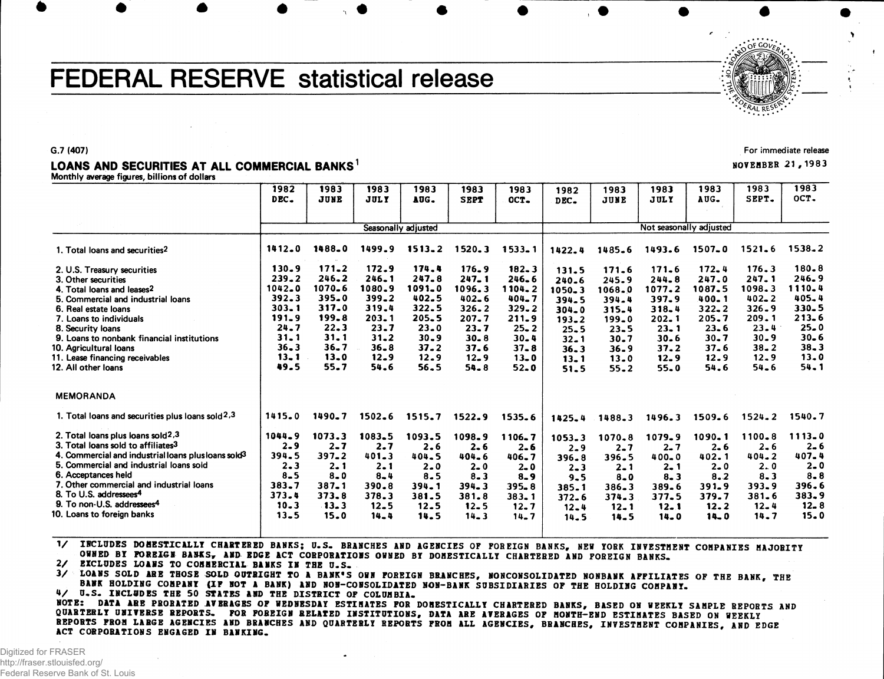# FEDERAL RESERVE statistical release



#### G.7 (407)

# LOANS AND SECURITIES AT ALL COMMERCIAL BANKS<sup>1</sup>

**Monthly average figures, billions of dollars**

|                                                                                                                                                                                                                                                                                                                                                                                                 | 1982<br>DEC.                                                                                                | 1983<br>JUNE                                                                                        | 1983<br>JULY                                                                                            | 1983<br>AUG.                                                                                        | 1983<br><b>SEPT</b>                                                                                             | 1983<br>OCT.                                                                                                        | 1982<br>DEC.                                                                                                        | 1983<br>JUNE                                                                                                | 1983<br>JULY                                                                                | 1983<br>AUG.                                                                                        | 1983<br>SEPT.                                                                                                       | 1983<br>OCT.                                                                                                |
|-------------------------------------------------------------------------------------------------------------------------------------------------------------------------------------------------------------------------------------------------------------------------------------------------------------------------------------------------------------------------------------------------|-------------------------------------------------------------------------------------------------------------|-----------------------------------------------------------------------------------------------------|---------------------------------------------------------------------------------------------------------|-----------------------------------------------------------------------------------------------------|-----------------------------------------------------------------------------------------------------------------|---------------------------------------------------------------------------------------------------------------------|---------------------------------------------------------------------------------------------------------------------|-------------------------------------------------------------------------------------------------------------|---------------------------------------------------------------------------------------------|-----------------------------------------------------------------------------------------------------|---------------------------------------------------------------------------------------------------------------------|-------------------------------------------------------------------------------------------------------------|
|                                                                                                                                                                                                                                                                                                                                                                                                 |                                                                                                             |                                                                                                     |                                                                                                         | Seasonally adjusted                                                                                 |                                                                                                                 |                                                                                                                     |                                                                                                                     |                                                                                                             | Not seasonally adjusted                                                                     |                                                                                                     |                                                                                                                     |                                                                                                             |
| 1. Total loans and securities <sup>2</sup>                                                                                                                                                                                                                                                                                                                                                      | $1412 - 0$                                                                                                  | 1488.0                                                                                              | 1499.9                                                                                                  | $1513 - 2$                                                                                          | 1520.3                                                                                                          | $1533 - 1$                                                                                                          | 1422.4                                                                                                              | 1485.6                                                                                                      | 1493.6                                                                                      | $1507 - 0$                                                                                          | 1521.6                                                                                                              | $1538 - 2$                                                                                                  |
| 2. U.S. Treasury securities<br>3. Other securities<br>4. Total loans and leases2<br>5. Commercial and industrial loans<br>6. Real estate loans<br>7. Loans to individuals<br>8. Security loans<br>9. Loans to nonbank financial institutions<br>10. Agricultural Ioans<br>11. Lease financing receivables                                                                                       | $130 - 9$<br>$239 - 2$<br>$1042 - 0$<br>392.3<br>$303 - 1$<br>191.9<br>24.7<br>31.1<br>$36 - 3$<br>$13 - 1$ | 171.2<br>246.2<br>1070.6<br>$395 - 0$<br>317.0<br>199.8<br>$22 - 3$<br>31.1<br>$36 - 7$<br>$13 - 0$ | 172.9<br>$246 - 1$<br>1080.9<br>$399 - 2$<br>319.4<br>203.1<br>23.7<br>$31 - 2$<br>$36 - 8$<br>$12 - 9$ | 174.4<br>$247 - 8$<br>1091_0<br>402.5<br>322.5<br>$205 - 5$<br>$23 - 0$<br>$30 - 9$<br>37.2<br>12.9 | 176.9<br>$247 - 1$<br>1096.3<br>$402 - 6$<br>$326 - 2$<br>$207 - 7$<br>$23 - 7$<br>$30 - 8$<br>37.6<br>$12 - 9$ | $182 - 3$<br>$246 - 6$<br>1104.2<br>$404 - 7$<br>$329 - 2$<br>211.9<br>$25 - 2$<br>$30 - 4$<br>$37 - 8$<br>$13 - 0$ | 131.5<br>$240 - 6$<br>$1050 - 3$<br>394.5<br>$304 - 0$<br>$193 - 2$<br>$25 - 5$<br>$32 - 1$<br>$36 - 3$<br>$13 - 1$ | 171.6<br>245.9<br>1068.0<br>394.4<br>$315 - 4$<br>$199 - 0$<br>$23 - 5$<br>$30 - 7$<br>$36 - 9$<br>$13 - 0$ | 171.6<br>244.8<br>1077.2<br>397.9<br>$318 - 4$<br>202.1<br>$23 - 1$<br>30.6<br>37.2<br>12.9 | 172.4<br>247.0<br>1087.5<br>400.1<br>$322 - 2$<br>205.7<br>$23 - 6$<br>$30 - 7$<br>$37 - 6$<br>12.9 | $176 - 3$<br>$247 - 1$<br>1098.3<br>$402 - 2$<br>$326 - 9$<br>209.1<br>$23 - 4$<br>$30 - 9$<br>$38 - 2$<br>$12 - 9$ | $180 - 8$<br>246.9<br>1110.4<br>$405 - 4$<br>330.5<br>$213 - 6$<br>$25 - 0$<br>$30 - 6$<br>$38 - 3$<br>13.0 |
| 12. All other loans<br><b>MEMORANDA</b>                                                                                                                                                                                                                                                                                                                                                         | 49.5                                                                                                        | 55.7                                                                                                | 54.6                                                                                                    | 56.5                                                                                                | $54 - 8$                                                                                                        | $52 - 0$                                                                                                            | 51.5                                                                                                                | $55 - 2$                                                                                                    | $55 - 0$                                                                                    | 54.6                                                                                                | $54 - 6$                                                                                                            | 54.1                                                                                                        |
| 1. Total loans and securities plus loans sold $2,3$                                                                                                                                                                                                                                                                                                                                             | 1415.0                                                                                                      | 1490.7                                                                                              | $1502 - 6$                                                                                              | 1515.7                                                                                              | 1522.9                                                                                                          | 1535.6                                                                                                              | $1425 - 4$                                                                                                          | 1488.3                                                                                                      | 1496.3                                                                                      | 1509.6                                                                                              | $1524 - 2$                                                                                                          | 1540.7                                                                                                      |
| 2. Total loans plus loans sold <sup>2</sup> ,3<br>3. Total loans sold to affiliates <sup>3</sup><br>4. Commercial and industrial loans plus loans sold <sup>3</sup><br>5. Commercial and industrial loans sold<br>6. Acceptances held<br>7. Other commercial and industrial loans<br>8. To U.S. addressees <sup>4</sup><br>9. To non-U.S. addressees <sup>4</sup><br>10. Loans to foreign banks | 1044.9<br>$2 - 9$<br>394.5<br>$2 - 3$<br>$8 - 5$<br>383.7<br>373.4<br>$10 - 3$<br>$13 - 5$                  | 1073.3<br>$2 - 7$<br>$397 - 2$<br>$2 - 1$<br>$8 - 0$<br>$387 - 1$<br>$373 - 8$<br>$-13 - 3$<br>15.0 | 1083.5<br>2.7<br>$401 - 3$<br>$2 - 1$<br>$8 - 4$<br>390.8<br>378.3<br>$12 - 5$<br>14.4                  | 1093.5<br>2.6<br>$404 - 5$<br>$2 - 0$<br>$8 - 5$<br>$394 - 1$<br>381.5<br>12.5<br>14.5              | 1098.9<br>$2 - 6$<br>$404 - 6$<br>$2 - 0$<br>$8 - 3$<br>$394 - 3$<br>381.8<br>$12 - 5$<br>$14 - 3$              | 1106.7<br>$2 - 6$<br>$406 - 7$<br>$2 - 0$<br>$8 - 9$<br>$395 - 8$<br>$383 - 1$<br>$12 - 7$<br>$14 - 7$              | $1053 - 3$<br>$2 - 9$<br>$396 - 8$<br>$2 - 3$<br>$9 - 5$<br>385.1<br>$372 - 6$<br>$12 - 4$<br>14.5                  | 1070.8<br>$2 - 7$<br>396.5<br>$2 - 1$<br>$8 - 0$<br>$386 - 3$<br>374.3<br>$12 - 1$<br>$14 - 5$              | 1079.9<br>$2 - 7$<br>$400 - 0$<br>$2 - 1$<br>$8 - 3$<br>389.6<br>377.5<br>$12 - 1$<br>14.0  | 1090.1<br>$2 - 6$<br>402.1<br>$2 - 0$<br>8.2<br>$391 - 9$<br>379.7<br>12.2<br>$14 - 0$              | 1100.8<br>$2 - 6$<br>$404 - 2$<br>2.0<br>$8 - 3$<br>$393 - 9$<br>$381 - 6$<br>$12 - 4$<br>14.7                      | $1113 - 0$<br>$2 - 6$<br>407.4<br>$2 - 0$<br>$8 - 8$<br>396.6<br>383.9<br>$12 - 8$<br>15.0                  |

1/ INCLUDES DOMESTICALLY CHARTERED BANKS; U.S. BRANCHES AND AGENCIES OF FOREIGN BANKS, NEW YORK INVESTMENT COMPANIES MAJORITY OWNED BY FOREIGN BANKS, AND EDGE ACT CORPORATIONS OWNED BY DOMESTICALLY CHARTERED AND FOREIGN BANKS.

2/ EXCLUDES LOANS TO COMMERCIAL BANKS IN THE U.S.

3/ LOANS SOLD ARE THOSE SOLD OUTRIGHT TO A BANK'S OWN FOREIGN BRANCHES, NONCONSOLIDATED NONBANK AFFILIATES OF THE BANK, THE BANK HOLDING COMPANY (IF NOT A BANK) AND NON-CONSOLIDATED NON-BANK SUBSIDIARIES OF THE HOLDING COMPANY.

4/ U.S. INCLUDES THE 50 STATES AND THE DISTRICT OF COLUMBIA. MOTE: DATA ABB PRORATED AVERAGES OF WEDNESDAY ESTIMATES FOR DOMESTICALLY CHARTERED BANKS, BASED ON WEEKLY SAMPLE REPORTS AND QUARTERLY UNIVERSE REPORTS. FOR FOREIGN RELATED INSTITUTIONS, DATA ARE AVERAGES OF MONTH-END ESTIMATES BASED ON WEEKLY REPORTS FROM LARGE AGENCIES AND BRANCHES AND QUARTERLY REPORTS FROM ALL AGENCIES, BRANCHES, INVESTMENT COMPANIES, AND EDGE ACT CORPORATIONS ENGAGED IN BANKING.

For immediate release

NOVEMBER 21,198 3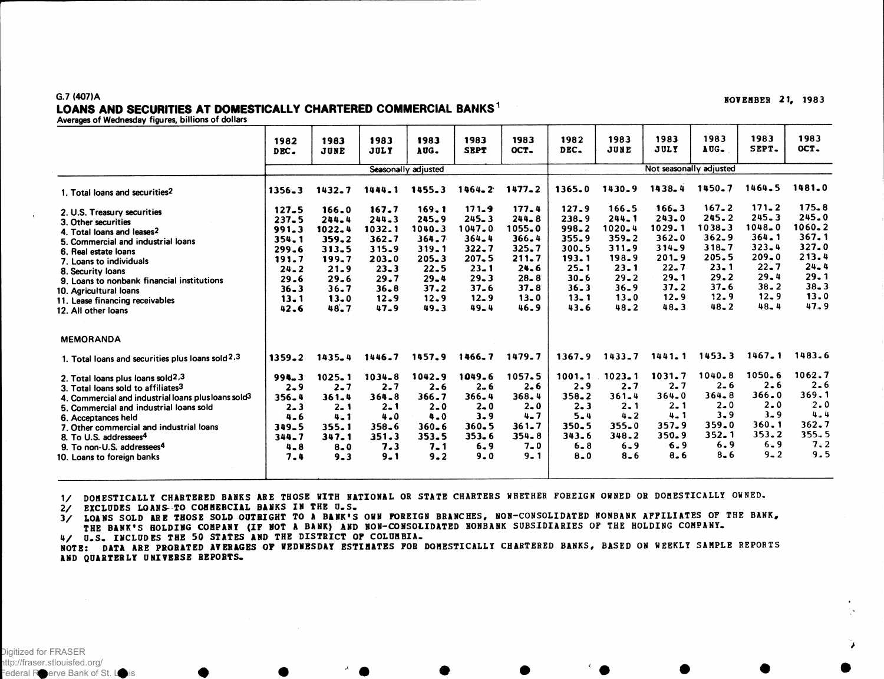### G.7 (407)A LOANS AND SECURITIES AT DOMESTICALLY CHARTERED COMMERCIAL BANKS<sup>1</sup>

Averages of Wednesday figures, billions of dollars

|                                                                                                                                                                                                                                                                                                                                                                        | 1982<br>DEC.                                                                                                       | 1983<br>JUNE                                                                                        | 1983<br><b>JULY</b>                                                                                                     | 1983<br>AUG.                                                                                                    | 1983<br><b>SEPT</b>                                                                                                             | 1983<br>OCT.                                                                                                    | 1982<br>DEC.                                                                                                           | 1983<br>JUNE                                                                                                                | 1983<br><b>JULY</b>                                                                                                             | 1983<br>AUG.                                                                                                                | 1983<br>SEPT.                                                                                                                       | 1983<br>OCT.                                                                                                    |  |
|------------------------------------------------------------------------------------------------------------------------------------------------------------------------------------------------------------------------------------------------------------------------------------------------------------------------------------------------------------------------|--------------------------------------------------------------------------------------------------------------------|-----------------------------------------------------------------------------------------------------|-------------------------------------------------------------------------------------------------------------------------|-----------------------------------------------------------------------------------------------------------------|---------------------------------------------------------------------------------------------------------------------------------|-----------------------------------------------------------------------------------------------------------------|------------------------------------------------------------------------------------------------------------------------|-----------------------------------------------------------------------------------------------------------------------------|---------------------------------------------------------------------------------------------------------------------------------|-----------------------------------------------------------------------------------------------------------------------------|-------------------------------------------------------------------------------------------------------------------------------------|-----------------------------------------------------------------------------------------------------------------|--|
|                                                                                                                                                                                                                                                                                                                                                                        |                                                                                                                    |                                                                                                     |                                                                                                                         | Seasonally adjusted                                                                                             |                                                                                                                                 |                                                                                                                 | Not seasonally adjusted                                                                                                |                                                                                                                             |                                                                                                                                 |                                                                                                                             |                                                                                                                                     |                                                                                                                 |  |
| 1. Total loans and securities <sup>2</sup>                                                                                                                                                                                                                                                                                                                             | $1356 - 3$                                                                                                         | 1432.7                                                                                              | 1444.1                                                                                                                  | 1455.3                                                                                                          | $1464 - 2$                                                                                                                      | $1477 - 2$                                                                                                      | 1365.0                                                                                                                 | 1430.9                                                                                                                      | 1438.4                                                                                                                          | 1450.7                                                                                                                      | 1464.5                                                                                                                              | 1481.0                                                                                                          |  |
| 2. U.S. Treasury securities<br>3. Other securities<br>4. Total loans and leases <sup>2</sup><br>5. Commercial and industrial loans<br>6. Real estate loans<br>7. Loans to individuals<br>8. Security loans<br>9. Loans to nonbank financial institutions<br>10. Agricultural loans<br>11. Lease financing receivables<br>12. All other loans                           | $127 - 5$<br>$237 - 5$<br>991.3<br>$354 - 1$<br>$299 - 6$<br>191.7<br>$24 - 2$<br>29.6<br>$36 - 3$<br>13.1<br>42.6 | 166.0<br>244.4<br>1022.4<br>359.2<br>313.5<br>199.7<br>21.9<br>$29 - 6$<br>$36 - 7$<br>13.0<br>48.7 | 167.7<br>$244 - 3$<br>1032.1<br>362.7<br>$315 - 9$<br>$203 - 0$<br>$23 - 3$<br>29.7<br>$36 - 8$<br>$12 - 9$<br>$47 - 9$ | 169.1<br>$245 - 9$<br>1040.3<br>364.7<br>319.1<br>$205 - 3$<br>$22 - 5$<br>$29 - 4$<br>37.2<br>12.9<br>$49 - 3$ | 171.9<br>$245 - 3$<br>1047.0<br>$364 - 4$<br>$322 - 7$<br>$207 - 5$<br>$23 - 1$<br>$29 - 3$<br>$37 - 6$<br>$12 - 9$<br>$49 - 4$ | 177.4<br>$244 - 8$<br>1055.0<br>366.4<br>325.7<br>$211 - 7$<br>24.6<br>$28 - 8$<br>$37 - 8$<br>$13 - 0$<br>46.9 | 127.9<br>$238 - 9$<br>$998 - 2$<br>$355 - 9$<br>$300 - 5$<br>193.1<br>$25 - 1$<br>$30 - 6$<br>36.3<br>$13 - 1$<br>43.6 | 166.5<br>$244 - 1$<br>1020-4<br>$359 - 2$<br>$311 - 9$<br>198.9<br>$23 - 1$<br>$29 - 2$<br>$36 - 9$<br>$13 - 0$<br>$48 - 2$ | $166 - 3$<br>$243 - 0$<br>1029.1<br>$362 - 0$<br>$314 - 9$<br>$201 - 9$<br>$22 - 7$<br>$29 - 1$<br>$37 - 2$<br>12.9<br>$48 - 3$ | $167 - 2$<br>245.2<br>$1038 - 3$<br>$362 - 9$<br>$318 - 7$<br>$205 - 5$<br>$23 - 1$<br>29.2<br>$37 - 6$<br>12.9<br>$48 - 2$ | $171 - 2$<br>$245 - 3$<br>$1048 - 0$<br>364.1<br>$323 - 4$<br>$209 - 0$<br>$22 - 7$<br>$29 - 4$<br>$38 - 2$<br>$12 - 9$<br>$48 - 4$ | $175 - 8$<br>245.0<br>1060.2<br>$367 - 1$<br>$327 - 0$<br>213.4<br>$24 - 4$<br>29.1<br>$38 - 3$<br>13.0<br>47.9 |  |
| <b>MEMORANDA</b>                                                                                                                                                                                                                                                                                                                                                       |                                                                                                                    |                                                                                                     |                                                                                                                         |                                                                                                                 |                                                                                                                                 |                                                                                                                 |                                                                                                                        |                                                                                                                             |                                                                                                                                 |                                                                                                                             |                                                                                                                                     |                                                                                                                 |  |
| 1. Total loans and securities plus loans sold $2.3$                                                                                                                                                                                                                                                                                                                    | $1359 - 2$                                                                                                         | $1435 - 4$                                                                                          | 1446.7                                                                                                                  | 1457.9                                                                                                          | 1466.7                                                                                                                          | 1479.7                                                                                                          | $1367 - 9$                                                                                                             | $1433 - 7$                                                                                                                  | $1441 - 1$                                                                                                                      | 1453.3                                                                                                                      | $1467 - 1$                                                                                                                          | 1483.6                                                                                                          |  |
| 2. Total loans plus loans sold2,3<br>3. Total loans sold to affiliates3<br>4. Commercial and industrial loans plus loans sold <sup>3</sup><br>5. Commercial and industrial loans sold<br>6. Acceptances held<br>7. Other commercial and industrial loans<br>8. To U.S. addressees <sup>4</sup><br>9. To non-U.S. addressees <sup>4</sup><br>10. Loans to foreign banks | $994 - 3$<br>$2 - 9$<br>$356 - 4$<br>$2 - 3$<br>$4 - 6$<br>349.5<br>344.7<br>$4 - 8$<br>7.4                        | $1025 - 1$<br>$2 - 7$<br>361.4<br>$2 - 1$<br>$4 - 1$<br>355.1<br>$347 - 1$<br>$8 - 0$<br>$9 - 3$    | $1034 - 8$<br>2.7<br>$364 - 8$<br>$2 - 1$<br>$4 - 0$<br>$358 - 6$<br>351.3<br>7.3<br>$9 - 1$                            | 1042.9<br>$2 - 6$<br>366.7<br>$2 - 0$<br>$4 - 0$<br>$360 - 6$<br>353.5<br>$7 - 1$<br>9.2                        | 1049.6<br>$2 - 6$<br>366.4<br>$2 - 0$<br>$3 - 9$<br>$360 - 5$<br>$353 - 6$<br>$6 - 9$<br>$9 - 0$                                | 1057.5<br>$2 - 6$<br>$368 - 4$<br>$2 - 0$<br>$4 - 7$<br>$361 - 7$<br>$354 - 8$<br>$7 - 0$<br>$9 - 1$            | $1001 - 1$<br>$2 - 9$<br>$358 - 2$<br>$2 - 3$<br>$5 - 4$<br>$350 - 5$<br>343.6<br>$6 - 8$<br>$8 - 0$                   | $1023 - 1$<br>$2 - 7$<br>$361 - 4$<br>$2 - 1$<br>$4 - 2$<br>$355 - 0$<br>348.2<br>$6 - 9$<br>$8 - 6$                        | 1031.7<br>$2 - 7$<br>$364 - 0$<br>$2 - 1$<br>$4 - 1$<br>357.9<br>$350 - 9$<br>6.9<br>8.6                                        | $1040 - 8$<br>$2 - 6$<br>$364 - 8$<br>$2 - 0$<br>$3 - 9$<br>359.0<br>$352 - 1$<br>6.9<br>$8 - 6$                            | $1050 - 6$<br>$2 - 6$<br>$366 - 0$<br>$2 - 0$<br>$3 - 9$<br>360.1<br>353.2<br>$6 - 9$<br>$9 - 2$                                    | 1062.7<br>$2 - 6$<br>369.1<br>2.0<br>4.4<br>362.7<br>355.5<br>7.2<br>9.5                                        |  |

1/ DOMESTICALLY CHARTERED BANKS ARE THOSE WITH NATIONAL OR STATE CHARTERS WHETHER FOREIGN OWNED OR DOMESTICALLY OWNED.

2/ EXCLUDES LOANS TO COMMERCIAL BANKS IN THE U.S.

3/ LOANS SOLD ARE THOSE SOLD OUTRIGHT TO A BANK'S OWN FOREIGN BRANCHES, NON-CONSOLIDATED NONBANK AFFILIATES OF THE BANK, THE BANK'S HOLDING COMPANY (IF NOT A BANK) AND NON-CONSOLIDATED NONBANK SUBSIDIARIES OF THE HOLDING COMPANY. 4/ U.S. INCLUDES THE 50 STATES AND THE DISTRICT OF COLUMBIA.

NOTE: DATA ARE PROBATED AVERAGES OF WEDNESDAY ESTIMATES FOR DOMESTICALLY CHARTERED BANKS, BASED ON WEEKLY SAMPLE REPORTS AND QUARTERLY UNIVERSE REPORTS.

Digitized for FRASER http://fraser.stlouisfed.org/  $F$ ederal Reserve Bank of St. L NOVEMBER 21, 1983